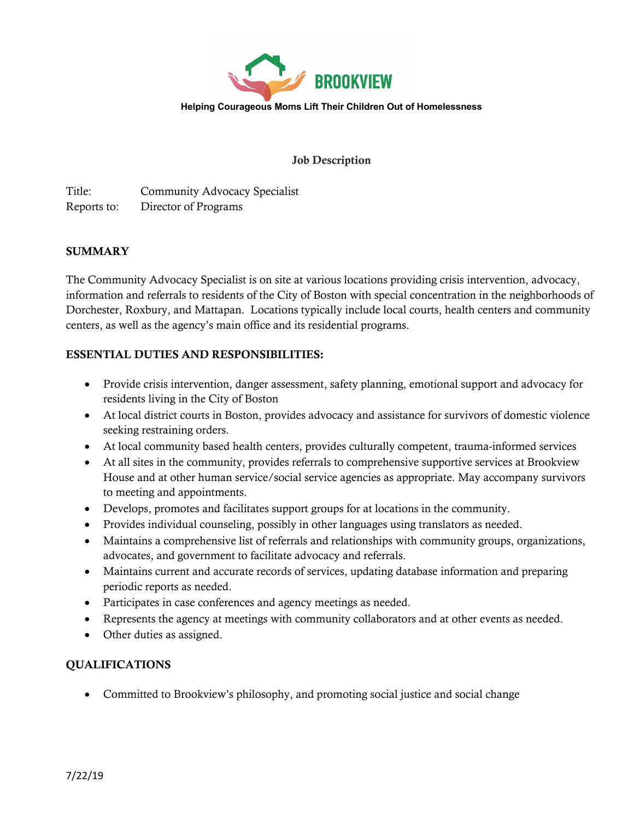

## Job Description

Title: Community Advocacy Specialist Reports to: Director of Programs

## SUMMARY

The Community Advocacy Specialist is on site at various locations providing crisis intervention, advocacy, information and referrals to residents of the City of Boston with special concentration in the neighborhoods of Dorchester, Roxbury, and Mattapan. Locations typically include local courts, health centers and community centers, as well as the agency's main office and its residential programs.

## ESSENTIAL DUTIES AND RESPONSIBILITIES:

- Provide crisis intervention, danger assessment, safety planning, emotional support and advocacy for residents living in the City of Boston
- At local district courts in Boston, provides advocacy and assistance for survivors of domestic violence seeking restraining orders.
- At local community based health centers, provides culturally competent, trauma-informed services
- At all sites in the community, provides referrals to comprehensive supportive services at Brookview House and at other human service/social service agencies as appropriate. May accompany survivors to meeting and appointments.
- Develops, promotes and facilitates support groups for at locations in the community.
- Provides individual counseling, possibly in other languages using translators as needed.
- Maintains a comprehensive list of referrals and relationships with community groups, organizations, advocates, and government to facilitate advocacy and referrals.
- Maintains current and accurate records of services, updating database information and preparing periodic reports as needed.
- Participates in case conferences and agency meetings as needed.
- Represents the agency at meetings with community collaborators and at other events as needed.
- Other duties as assigned.

## QUALIFICATIONS

• Committed to Brookview's philosophy, and promoting social justice and social change